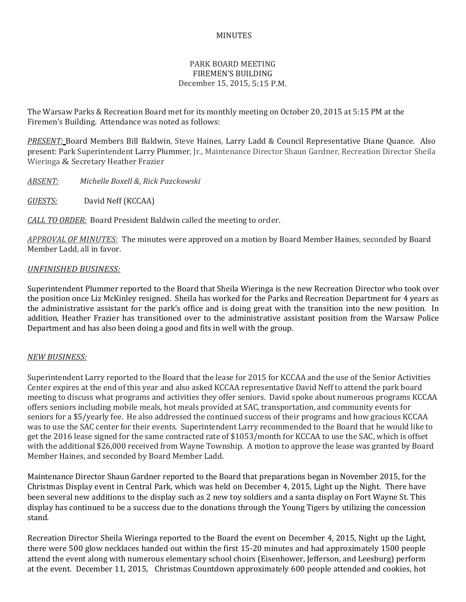## MINUTES

## PARK BOARD MEETING FIREMEN'S BUILDING December 15, 2015, 5:15 P.M.

The Warsaw Parks & Recreation Board met for its monthly meeting on October 20, 2015 at 5:15 PM at the Firemen's Building. Attendance was noted as follows:

*PRESENT:* Board Members Bill Baldwin, Steve Haines, Larry Ladd & Council Representative Diane Quance. Also present: Park Superintendent Larry Plummer, Jr., Maintenance Director Shaun Gardner, Recreation Director Sheila Wieringa & Secretary Heather Frazier

*ABSENT: Michelle Boxell &, Rick Pazckowski*

*GUESTS:* David Neff (KCCAA)

*CALL TO ORDER:* Board President Baldwin called the meeting to order.

*APPROVAL OF MINUTES:* The minutes were approved on a motion by Board Member Haines, seconded by Board Member Ladd, all in favor.

## *UNFINISHED BUSINESS:*

Superintendent Plummer reported to the Board that Sheila Wieringa is the new Recreation Director who took over the position once Liz McKinley resigned. Sheila has worked for the Parks and Recreation Department for 4 years as the administrative assistant for the park's office and is doing great with the transition into the new position. In addition, Heather Frazier has transitioned over to the administrative assistant position from the Warsaw Police Department and has also been doing a good and fits in well with the group.

## *NEW BUSINESS:*

Superintendent Larry reported to the Board that the lease for 2015 for KCCAA and the use of the Senior Activities Center expires at the end of this year and also asked KCCAA representative David Neff to attend the park board meeting to discuss what programs and activities they offer seniors. David spoke about numerous programs KCCAA offers seniors including mobile meals, hot meals provided at SAC, transportation, and community events for seniors for a \$5/yearly fee. He also addressed the continued success of their programs and how gracious KCCAA was to use the SAC center for their events. Superintendent Larry recommended to the Board that he would like to get the 2016 lease signed for the same contracted rate of \$1053/month for KCCAA to use the SAC, which is offset with the additional \$26,000 received from Wayne Township. A motion to approve the lease was granted by Board Member Haines, and seconded by Board Member Ladd.

Maintenance Director Shaun Gardner reported to the Board that preparations began in November 2015, for the Christmas Display event in Central Park, which was held on December 4, 2015, Light up the Night. There have been several new additions to the display such as 2 new toy soldiers and a santa display on Fort Wayne St. This display has continued to be a success due to the donations through the Young Tigers by utilizing the concession stand.

Recreation Director Sheila Wieringa reported to the Board the event on December 4, 2015, Night up the Light, there were 500 glow necklaces handed out within the first 15-20 minutes and had approximately 1500 people attend the event along with numerous elementary school choirs (Eisenhower, Jefferson, and Leesburg) perform at the event. December 11, 2015, Christmas Countdown approximately 600 people attended and cookies, hot